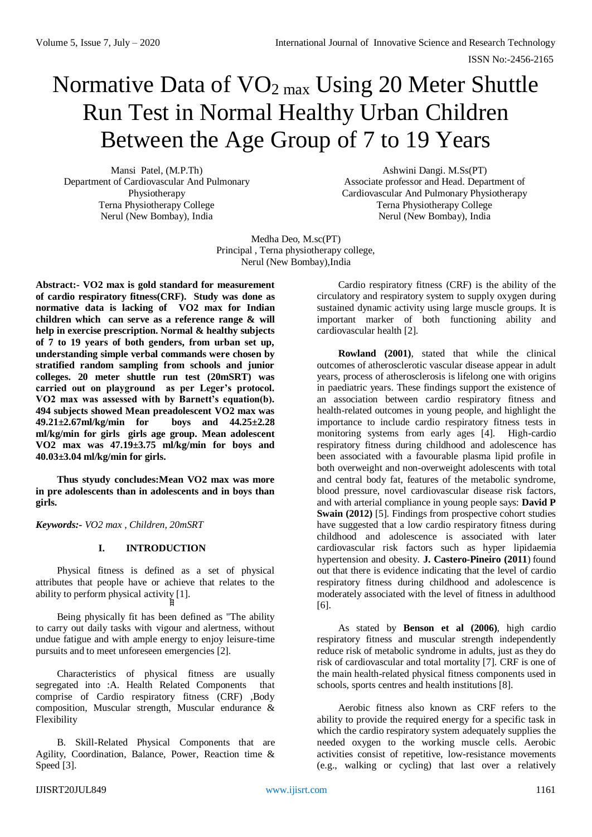# Normative Data of  $VO<sub>2 max</sub>$  Using 20 Meter Shuttle Run Test in Normal Healthy Urban Children Between the Age Group of 7 to 19 Years

Mansi Patel, (M.P.Th) Department of Cardiovascular And Pulmonary Physiotherapy Terna Physiotherapy College Nerul (New Bombay), India

Ashwini Dangi. M.Ss(PT) Associate professor and Head. Department of Cardiovascular And Pulmonary Physiotherapy Terna Physiotherapy College Nerul (New Bombay), India

Medha Deo, M.sc(PT) Principal , Terna physiotherapy college, Nerul (New Bombay),India

**Abstract:- VO2 max is gold standard for measurement of cardio respiratory fitness(CRF). Study was done as normative data is lacking of VO2 max for Indian children which can serve as a reference range & will help in exercise prescription. Normal & healthy subjects of 7 to 19 years of both genders, from urban set up, understanding simple verbal commands were chosen by stratified random sampling from schools and junior colleges. 20 meter shuttle run test (20mSRT) was carried out on playground as per Leger's protocol. VO2 max was assessed with by Barnett's equation(b). 494 subjects showed Mean preadolescent VO2 max was 49.21±2.67ml/kg/min for boys and 44.25±2.28 ml/kg/min for girls girls age group. Mean adolescent VO2 max was 47.19±3.75 ml/kg/min for boys and 40.03±3.04 ml/kg/min for girls.**

**Thus styudy concludes:Mean VO2 max was more in pre adolescents than in adolescents and in boys than girls.** 

*Keywords:- VO2 max , Children, 20mSRT*

# **I. INTRODUCTION**

Physical fitness is defined as a set of physical attributes that people have or achieve that relates to the ability to perform physical activity  $[1]$ .

Being physically fit has been defined as "The ability to carry out daily tasks with vigour and alertness, without undue fatigue and with ample energy to enjoy leisure-time pursuits and to meet unforeseen emergencies [2].

Characteristics of physical fitness are usually segregated into :A. Health Related Components that comprise of Cardio respiratory fitness (CRF) ,Body composition, Muscular strength, Muscular endurance & Flexibility

B. Skill-Related Physical Components that are Agility, Coordination, Balance, Power, Reaction time & Speed [3].

Cardio respiratory fitness (CRF) is the ability of the circulatory and respiratory system to supply oxygen during sustained dynamic activity using large muscle groups. It is important marker of both functioning ability and cardiovascular health [2].

**Rowland (2001)**, stated that while the clinical outcomes of atherosclerotic vascular disease appear in adult years, process of atherosclerosis is lifelong one with origins in paediatric years. These findings support the existence of an association between cardio respiratory fitness and health-related outcomes in young people, and highlight the importance to include cardio respiratory fitness tests in monitoring systems from early ages [4]. High-cardio respiratory fitness during childhood and adolescence has been associated with a favourable plasma lipid profile in both overweight and non-overweight adolescents with total and central body fat, features of the metabolic syndrome, blood pressure, novel cardiovascular disease risk factors, and with arterial compliance in young people says: **David P Swain (2012)** [5]. Findings from prospective cohort studies have suggested that a low cardio respiratory fitness during childhood and adolescence is associated with later cardiovascular risk factors such as hyper lipidaemia hypertension and obesity. **J. Castero-Pineiro (2011**) found out that there is evidence indicating that the level of cardio respiratory fitness during childhood and adolescence is moderately associated with the level of fitness in adulthood [6].

As stated by **Benson et al (2006)**, high cardio respiratory fitness and muscular strength independently reduce risk of metabolic syndrome in adults, just as they do risk of cardiovascular and total mortality [7]. CRF is one of the main health-related physical fitness components used in schools, sports centres and health institutions [8].

Aerobic fitness also known as CRF refers to the ability to provide the required energy for a specific task in which the cardio respiratory system adequately supplies the needed oxygen to the working muscle cells. Aerobic activities consist of repetitive, low-resistance movements (e.g., walking or cycling) that last over a relatively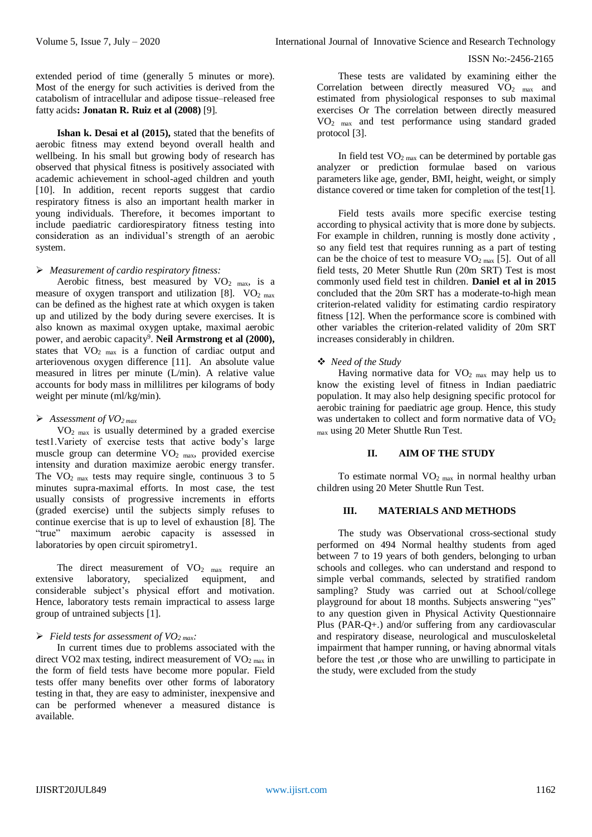#### ISSN No:-2456-2165

extended period of time (generally 5 minutes or more). Most of the energy for such activities is derived from the catabolism of intracellular and adipose tissue–released free fatty acids**: Jonatan R. Ruiz et al (2008)** [9].

**Ishan k. Desai et al (2015),** stated that the benefits of aerobic fitness may extend beyond overall health and wellbeing. In his small but growing body of research has observed that physical fitness is positively associated with academic achievement in school-aged children and youth [10]. In addition, recent reports suggest that cardio respiratory fitness is also an important health marker in young individuals. Therefore, it becomes important to include paediatric cardiorespiratory fitness testing into consideration as an individual's strength of an aerobic system.

# *Measurement of cardio respiratory fitness:*

Aerobic fitness, best measured by  $VO<sub>2</sub>$  max, is a measure of oxygen transport and utilization [8].  $VO<sub>2 max</sub>$ can be defined as the highest rate at which oxygen is taken up and utilized by the body during severe exercises. It is also known as maximal oxygen uptake, maximal aerobic power, and aerobic capacity<sup>9</sup>. Neil Armstrong et al (2000), states that  $VO<sub>2 max</sub>$  is a function of cardiac output and arteriovenous oxygen difference [11]. An absolute value measured in litres per minute (L/min). A relative value accounts for body mass in millilitres per kilograms of body weight per minute (ml/kg/min).

## *Assessment of VO2 max*

VO2 max is usually determined by a graded exercise test1.Variety of exercise tests that active body's large muscle group can determine VO<sub>2</sub> max, provided exercise intensity and duration maximize aerobic energy transfer. The  $VO<sub>2 max</sub>$  tests may require single, continuous 3 to 5 minutes supra-maximal efforts. In most case, the test usually consists of progressive increments in efforts (graded exercise) until the subjects simply refuses to continue exercise that is up to level of exhaustion [8]. The "true" maximum aerobic capacity is assessed in laboratories by open circuit spirometry1.

The direct measurement of  $VO<sub>2</sub>$  max require an extensive laboratory, specialized equipment, and considerable subject's physical effort and motivation. Hence, laboratory tests remain impractical to assess large group of untrained subjects [1].

# *Field tests for assessment of VO2 max:*

In current times due to problems associated with the direct VO2 max testing, indirect measurement of VO<sub>2 max</sub> in the form of field tests have become more popular. Field tests offer many benefits over other forms of laboratory testing in that, they are easy to administer, inexpensive and can be performed whenever a measured distance is available.

These tests are validated by examining either the Correlation between directly measured  $VO<sub>2</sub>$  max and estimated from physiological responses to sub maximal exercises Or The correlation between directly measured VO2 max and test performance using standard graded protocol [3].

In field test  $VO<sub>2 max</sub>$  can be determined by portable gas analyzer or prediction formulae based on various parameters like age, gender, BMI, height, weight, or simply distance covered or time taken for completion of the test[1].

Field tests avails more specific exercise testing according to physical activity that is more done by subjects. For example in children, running is mostly done activity , so any field test that requires running as a part of testing can be the choice of test to measure  $VO<sub>2 max</sub>$  [5]. Out of all field tests, 20 Meter Shuttle Run (20m SRT) Test is most commonly used field test in children. **Daniel et al in 2015** concluded that the 20m SRT has a moderate-to-high mean criterion-related validity for estimating cardio respiratory fitness [12]. When the performance score is combined with other variables the criterion-related validity of 20m SRT increases considerably in children.

# *Need of the Study*

Having normative data for  $VO<sub>2</sub>$  max may help us to know the existing level of fitness in Indian paediatric population. It may also help designing specific protocol for aerobic training for paediatric age group. Hence, this study was undertaken to collect and form normative data of VO<sub>2</sub> max using 20 Meter Shuttle Run Test.

## **II. AIM OF THE STUDY**

To estimate normal  $VO<sub>2 max</sub>$  in normal healthy urban children using 20 Meter Shuttle Run Test.

## **III. MATERIALS AND METHODS**

The study was Observational cross-sectional study performed on 494 Normal healthy students from aged between 7 to 19 years of both genders, belonging to urban schools and colleges. who can understand and respond to simple verbal commands, selected by stratified random sampling? Study was carried out at School/college playground for about 18 months. Subjects answering "yes" to any question given in Physical Activity Questionnaire Plus (PAR-Q+.) and/or suffering from any cardiovascular and respiratory disease, neurological and musculoskeletal impairment that hamper running, or having abnormal vitals before the test ,or those who are unwilling to participate in the study, were excluded from the study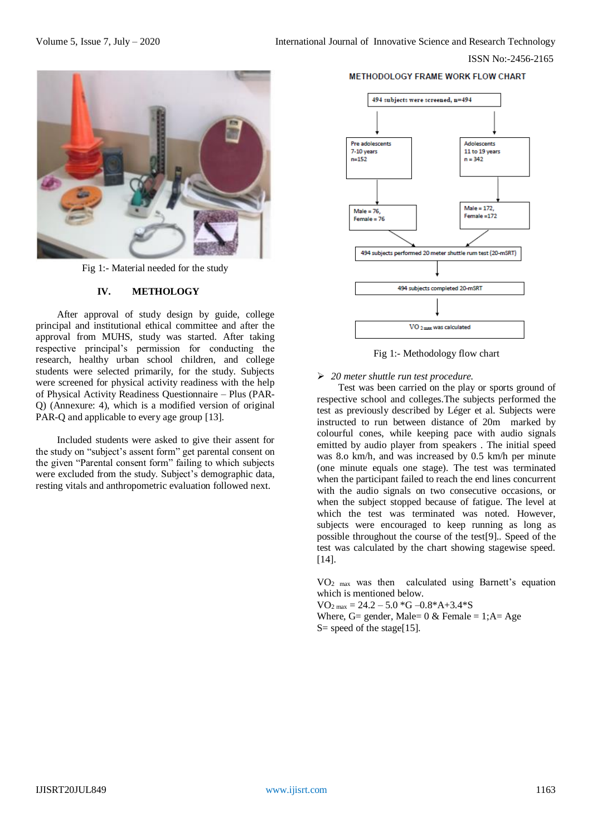ISSN No:-2456-2165



Fig 1:- Material needed for the study

# **IV. METHOLOGY**

After approval of study design by guide, college principal and institutional ethical committee and after the approval from MUHS, study was started. After taking respective principal's permission for conducting the research, healthy urban school children, and college students were selected primarily, for the study. Subjects were screened for physical activity readiness with the help of Physical Activity Readiness Questionnaire – Plus (PAR-Q) (Annexure: 4), which is a modified version of original PAR-Q and applicable to every age group [13].

Included students were asked to give their assent for the study on "subject's assent form" get parental consent on the given "Parental consent form" failing to which subjects were excluded from the study. Subject's demographic data, resting vitals and anthropometric evaluation followed next.

#### **METHODOLOGY FRAME WORK FLOW CHART**



Fig 1:- Methodology flow chart

## *20 meter shuttle run test procedure.*

Test was been carried on the play or sports ground of respective school and colleges.The subjects performed the test as previously described by Léger et al. Subjects were instructed to run between distance of 20m marked by colourful cones, while keeping pace with audio signals emitted by audio player from speakers . The initial speed was 8.o km/h, and was increased by 0.5 km/h per minute (one minute equals one stage). The test was terminated when the participant failed to reach the end lines concurrent with the audio signals on two consecutive occasions, or when the subject stopped because of fatigue. The level at which the test was terminated was noted. However, subjects were encouraged to keep running as long as possible throughout the course of the test[9].. Speed of the test was calculated by the chart showing stagewise speed. [14].

 $VO<sub>2 max</sub>$  was then calculated using Barnett's equation which is mentioned below.

 $VO_{2 \text{ max}} = 24.2 - 5.0 \cdot G - 0.8 \cdot A + 3.4 \cdot S$ Where, G= gender, Male=  $0 \&$  Female = 1;A= Age  $S=$  speed of the stage[15].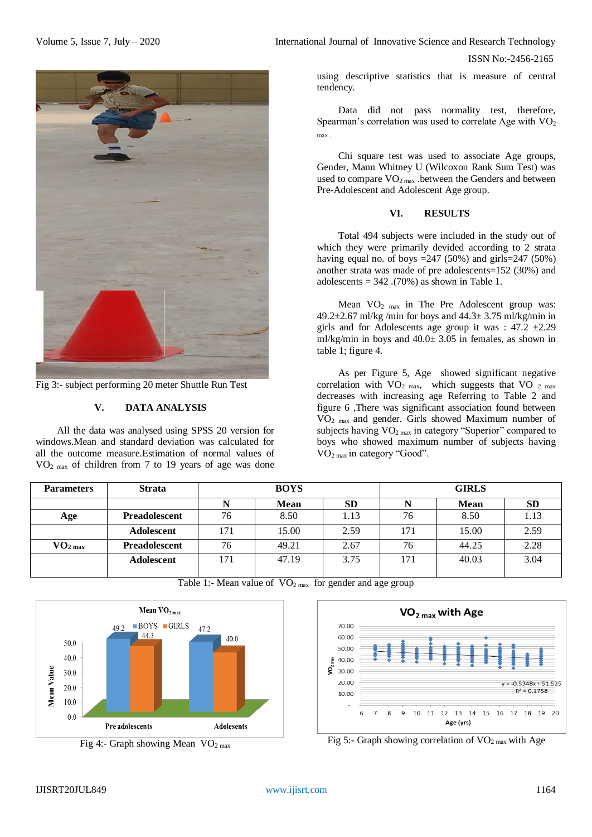

Fig 3:- subject performing 20 meter Shuttle Run Test

# **V. DATA ANALYSIS**

All the data was analysed using SPSS 20 version for windows.Mean and standard deviation was calculated for all the outcome measure.Estimation of normal values of VO2 max of children from 7 to 19 years of age was done

Volume 5, Issue 7, July – 2020 **International Journal of Innovative Science and Research Technology** 

ISSN No:-2456-2165

using descriptive statistics that is measure of central tendency.

Data did not pass normality test, therefore, Spearman's correlation was used to correlate Age with  $VO<sub>2</sub>$ max .

Chi square test was used to associate Age groups, Gender, Mann Whitney U (Wilcoxon Rank Sum Test) was used to compare  $VO<sub>2 max</sub>$ . between the Genders and between Pre-Adolescent and Adolescent Age group.

# **VI. RESULTS**

Total 494 subjects were included in the study out of which they were primarily devided according to 2 strata having equal no. of boys  $=247 (50\%)$  and girls $=247 (50\%)$ another strata was made of pre adolescents=152 (30%) and adolescents =  $342 \cdot (70\%)$  as shown in Table 1.

Mean VO<sub>2</sub> <sub>max</sub> in The Pre Adolescent group was: 49.2 $\pm$ 2.67 ml/kg/min for boys and 44.3 $\pm$  3.75 ml/kg/min in girls and for Adolescents age group it was :  $47.2 \pm 2.29$ ml/kg/min in boys and 40.0± 3.05 in females, as shown in table 1; figure 4.

As per Figure 5, Age showed significant negative correlation with  $VO<sub>2 max</sub>$ , which suggests that VO  $<sub>2 max</sub>$ </sub> decreases with increasing age Referring to Table 2 and figure 6 ,There was significant association found between VO2 max and gender. Girls showed Maximum number of subjects having  $VO<sub>2 max</sub>$  in category "Superior" compared to boys who showed maximum number of subjects having VO2 max in category "Good".

| <b>Parameters</b>   | <b>Strata</b>        | <b>BOYS</b> |             |           | <b>GIRLS</b> |             |           |
|---------------------|----------------------|-------------|-------------|-----------|--------------|-------------|-----------|
|                     |                      |             | <b>Mean</b> | <b>SD</b> |              | <b>Mean</b> | <b>SD</b> |
| Age                 | <b>Preadolescent</b> | 76          | 8.50        | 1.13      | 76           | 8.50        | 1.13      |
|                     | Adolescent           | 171         | 15.00       | 2.59      | 171          | 15.00       | 2.59      |
| $\mathbf{VO}_2$ max | <b>Preadolescent</b> | 76          | 49.21       | 2.67      | 76           | 44.25       | 2.28      |
|                     | <b>Adolescent</b>    | 171         | 47.19       | 3.75      | 171          | 40.03       | 3.04      |
|                     |                      |             |             |           |              |             |           |



Table 1:- Mean value of  $VO<sub>2 max</sub>$  for gender and age group



Fig 5:- Graph showing correlation of  $VO<sub>2 max</sub>$  with Age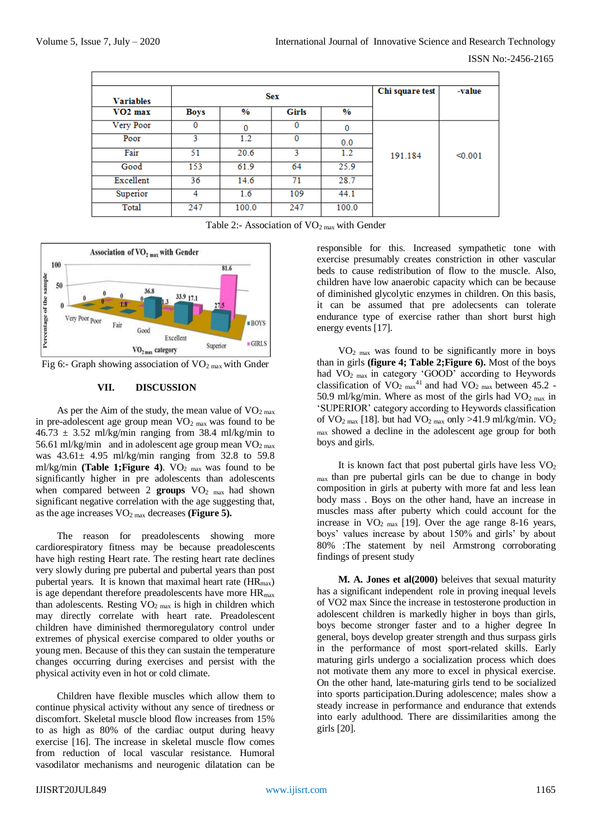| <b>Variables</b> |             | <b>Sex</b>    | Chi square test | -value        |         |         |
|------------------|-------------|---------------|-----------------|---------------|---------|---------|
| $VO2$ max        | <b>Boys</b> | $\frac{9}{6}$ | Girls           | $\frac{0}{0}$ |         |         |
| Very Poor        | 0           | 0             | $\bf{0}$        | $\bf{0}$      |         |         |
| Poor             | ٩           | 1.2           |                 | 0.0           |         |         |
| Fair             | 51          | 20.6          | 3               | 1.2           | 191.184 | < 0.001 |
| Good             | 153         | 61.9          | 64              | 25.9          |         |         |
| Excellent        | 36          | 14.6          | 71              | 28.7          |         |         |
| Superior         |             | 1.6           | 109             | 44.1          |         |         |
| Total            | 247         | 100.0         | 247             | 100.0         |         |         |

Table 2:- Association of  $VO<sub>2 max</sub>$  with Gender



Fig 6:- Graph showing association of  $VO<sub>2 max</sub>$  with Gnder

#### **VII. DISCUSSION**

As per the Aim of the study, the mean value of  $VO<sub>2 max</sub>$ </sub> in pre-adolescent age group mean  $VO<sub>2 max</sub>$  was found to be  $46.73 \pm 3.52$  ml/kg/min ranging from 38.4 ml/kg/min to 56.61 ml/kg/min and in adolescent age group mean  $VO<sub>2 max</sub>$ </sub> was  $43.61 \pm 4.95$  ml/kg/min ranging from 32.8 to 59.8 ml/kg/min **(Table 1; Figure 4)**. VO<sub>2 max</sub> was found to be significantly higher in pre adolescents than adolescents when compared between 2 **groups** VO<sub>2</sub> max had shown significant negative correlation with the age suggesting that, as the age increases  $VO<sub>2 max</sub>$  decreases (**Figure 5**).

The reason for preadolescents showing more cardiorespiratory fitness may be because preadolescents have high resting Heart rate. The resting heart rate declines very slowly during pre pubertal and pubertal years than post pubertal years. It is known that maximal heart rate  $(HR_{max})$ is age dependant therefore preadolescents have more  $HR_{max}$ than adolescents. Resting  $\overline{VO}_{2 \text{ max}}$  is high in children which may directly correlate with heart rate. Preadolescent children have diminished thermoregulatory control under extremes of physical exercise compared to older youths or young men. Because of this they can sustain the temperature changes occurring during exercises and persist with the physical activity even in hot or cold climate.

Children have flexible muscles which allow them to continue physical activity without any sence of tiredness or discomfort. Skeletal muscle blood flow increases from 15% to as high as 80% of the cardiac output during heavy exercise [16]. The increase in skeletal muscle flow comes from reduction of local vascular resistance. Humoral vasodilator mechanisms and neurogenic dilatation can be

responsible for this. Increased sympathetic tone with exercise presumably creates constriction in other vascular beds to cause redistribution of flow to the muscle. Also, children have low anaerobic capacity which can be because of diminished glycolytic enzymes in children. On this basis, it can be assumed that pre adolecsents can tolerate endurance type of exercise rather than short burst high energy events [17].

 $VO<sub>2 max</sub>$  was found to be significantly more in boys than in girls **(figure 4; Table 2;Figure 6).** Most of the boys had VO<sub>2</sub> max in category 'GOOD' according to Heywords classification of  $VO<sub>2 max</sub><sup>41</sup>$  and had  $VO<sub>2 max</sub>$  between 45.2 -50.9 ml/kg/min. Where as most of the girls had  $VO<sub>2 max</sub>$ </sub> in 'SUPERIOR' category according to Heywords classification of  $VO_{2 \max}$  [18]. but had  $VO_{2 \max}$  only >41.9 ml/kg/min.  $VO_{2}$ max showed a decline in the adolescent age group for both boys and girls.

It is known fact that post pubertal girls have less  $VO<sub>2</sub>$ max than pre pubertal girls can be due to change in body composition in girls at puberty with more fat and less lean body mass . Boys on the other hand, have an increase in muscles mass after puberty which could account for the increase in  $VO<sub>2 max</sub>$  [19]. Over the age range 8-16 years, boys' values increase by about 150% and girls' by about 80% :The statement by neil Armstrong corroborating findings of present study

**M. A. Jones et al(2000)** beleives that sexual maturity has a significant independent role in proving inequal levels of VO2 max Since the increase in testosterone production in adolescent children is markedly higher in boys than girls, boys become stronger faster and to a higher degree In general, boys develop greater strength and thus surpass girls in the performance of most sport-related skills. Early maturing girls undergo a socialization process which does not motivate them any more to excel in physical exercise. On the other hand, late-maturing girls tend to be socialized into sports participation.During adolescence; males show a steady increase in performance and endurance that extends into early adulthood. There are dissimilarities among the girls [20].